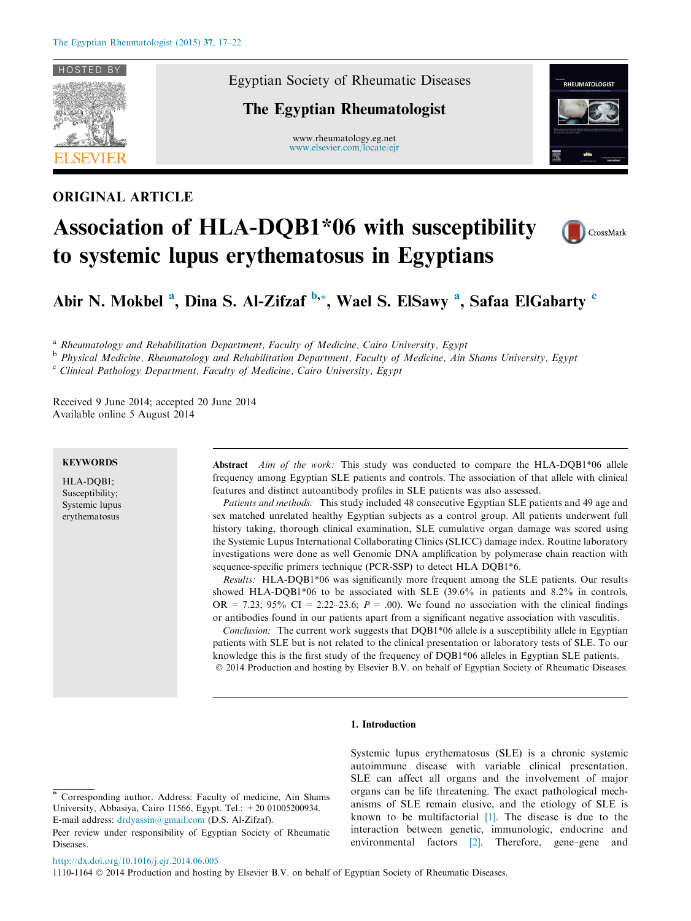

# ORIGINAL ARTICLE

Egyptian Society of Rheumatic Diseases

# The Egyptian Rheumatologist

www.rheumatology.eg.net [www.elsevier.com/locate/ejr](http://www.sciencedirect.com/science/journal/11101164)







Abir N. Mokbel <sup>a</sup>, Dina S. Al-Zifzaf <sup>b,\*</sup>, Wael S. ElSawy <sup>a</sup>, Safaa ElGabarty <sup>c</sup>

<sup>a</sup> Rheumatology and Rehabilitation Department, Faculty of Medicine, Cairo University, Egypt

<sup>b</sup> Physical Medicine, Rheumatology and Rehabilitation Department, Faculty of Medicine, Ain Shams University, Egypt

 $c$  Clinical Pathology Department, Faculty of Medicine, Cairo University, Egypt

Received 9 June 2014; accepted 20 June 2014 Available online 5 August 2014

# **KEYWORDS**

HLA-DQB1; Susceptibility; Systemic lupus erythematosus

Abstract Aim of the work: This study was conducted to compare the HLA-DQB1\*06 allele frequency among Egyptian SLE patients and controls. The association of that allele with clinical features and distinct autoantibody profiles in SLE patients was also assessed.

Patients and methods: This study included 48 consecutive Egyptian SLE patients and 49 age and sex matched unrelated healthy Egyptian subjects as a control group. All patients underwent full history taking, thorough clinical examination, SLE cumulative organ damage was scored using the Systemic Lupus International Collaborating Clinics (SLICC) damage index. Routine laboratory investigations were done as well Genomic DNA amplification by polymerase chain reaction with sequence-specific primers technique (PCR-SSP) to detect HLA DQB1\*6.

Results: HLA-DQB1\*06 was significantly more frequent among the SLE patients. Our results showed HLA-DQB1\*06 to be associated with SLE (39.6% in patients and 8.2% in controls, OR = 7.23; 95% CI = 2.22–23.6;  $P = 0.00$ . We found no association with the clinical findings or antibodies found in our patients apart from a significant negative association with vasculitis.

Conclusion: The current work suggests that DQB1\*06 allele is a susceptibility allele in Egyptian patients with SLE but is not related to the clinical presentation or laboratory tests of SLE. To our knowledge this is the first study of the frequency of DQB1\*06 alleles in Egyptian SLE patients. © 2014 Production and hosting by Elsevier B.V. on behalf of Egyptian Society of Rheumatic Diseases.

# 1. Introduction

## Corresponding author. Address: Faculty of medicine, Ain Shams University, Abbasiya, Cairo 11566, Egypt. Tel.: +20 01005200934. E-mail address: [drdyassin@gmail.com](mailto:drdyassin@gmail.com) (D.S. Al-Zifzaf).

Systemic lupus erythematosus (SLE) is a chronic systemic autoimmune disease with variable clinical presentation. SLE can affect all organs and the involvement of major organs can be life threatening. The exact pathological mechanisms of SLE remain elusive, and the etiology of SLE is known to be multifactorial [\[1\]](#page-4-0). The disease is due to the interaction between genetic, immunologic, endocrine and environmental factors [\[2\]](#page-4-0). Therefore, gene–gene and

<http://dx.doi.org/10.1016/j.ejr.2014.06.005>

1110-1164  $\odot$  2014 Production and hosting by Elsevier B.V. on behalf of Egyptian Society of Rheumatic Diseases.

Peer review under responsibility of Egyptian Society of Rheumatic Diseases.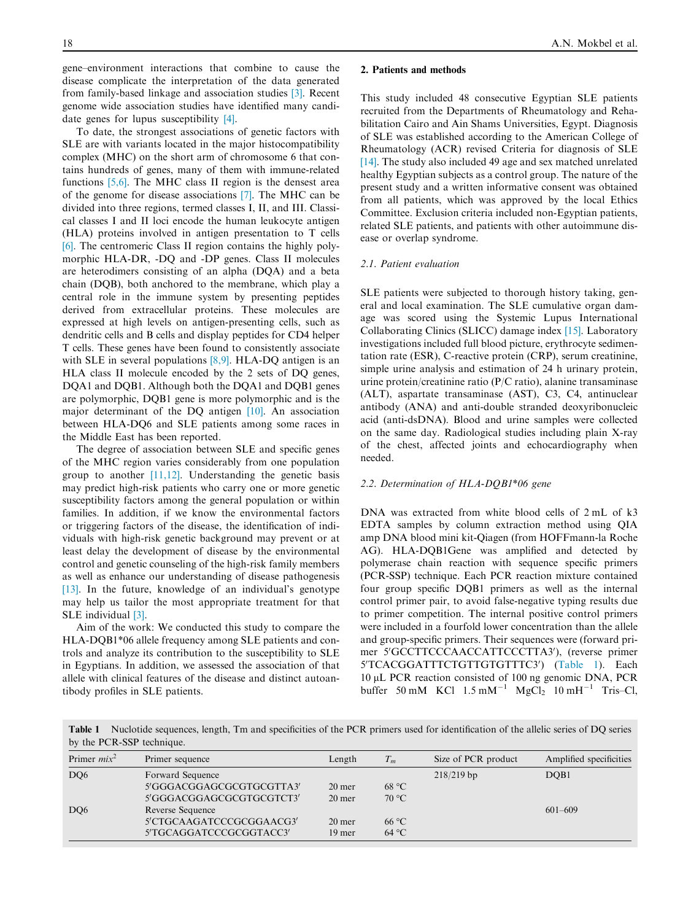gene–environment interactions that combine to cause the disease complicate the interpretation of the data generated from family-based linkage and association studies [\[3\].](#page-4-0) Recent genome wide association studies have identified many candidate genes for lupus susceptibility [\[4\]](#page-4-0).

To date, the strongest associations of genetic factors with SLE are with variants located in the major histocompatibility complex (MHC) on the short arm of chromosome 6 that contains hundreds of genes, many of them with immune-related functions [\[5,6\]](#page-4-0). The MHC class II region is the densest area of the genome for disease associations [\[7\]](#page-4-0). The MHC can be divided into three regions, termed classes I, II, and III. Classical classes I and II loci encode the human leukocyte antigen (HLA) proteins involved in antigen presentation to T cells [\[6\]](#page-4-0). The centromeric Class II region contains the highly polymorphic HLA-DR, -DQ and -DP genes. Class II molecules are heterodimers consisting of an alpha (DQA) and a beta chain (DQB), both anchored to the membrane, which play a central role in the immune system by presenting peptides derived from extracellular proteins. These molecules are expressed at high levels on antigen-presenting cells, such as dendritic cells and B cells and display peptides for CD4 helper T cells. These genes have been found to consistently associate with SLE in several populations [\[8,9\].](#page-4-0) HLA-DQ antigen is an HLA class II molecule encoded by the 2 sets of DQ genes, DQA1 and DQB1. Although both the DQA1 and DQB1 genes are polymorphic, DQB1 gene is more polymorphic and is the major determinant of the DQ antigen [\[10\].](#page-4-0) An association between HLA-DQ6 and SLE patients among some races in the Middle East has been reported.

The degree of association between SLE and specific genes of the MHC region varies considerably from one population group to another  $[11,12]$ . Understanding the genetic basis may predict high-risk patients who carry one or more genetic susceptibility factors among the general population or within families. In addition, if we know the environmental factors or triggering factors of the disease, the identification of individuals with high-risk genetic background may prevent or at least delay the development of disease by the environmental control and genetic counseling of the high-risk family members as well as enhance our understanding of disease pathogenesis [\[13\].](#page-4-0) In the future, knowledge of an individual's genotype may help us tailor the most appropriate treatment for that SLE individual [\[3\]](#page-4-0).

Aim of the work: We conducted this study to compare the HLA-DQB1\*06 allele frequency among SLE patients and controls and analyze its contribution to the susceptibility to SLE in Egyptians. In addition, we assessed the association of that allele with clinical features of the disease and distinct autoantibody profiles in SLE patients.

## 2. Patients and methods

This study included 48 consecutive Egyptian SLE patients recruited from the Departments of Rheumatology and Rehabilitation Cairo and Ain Shams Universities, Egypt. Diagnosis of SLE was established according to the American College of Rheumatology (ACR) revised Criteria for diagnosis of SLE [\[14\].](#page-4-0) The study also included 49 age and sex matched unrelated healthy Egyptian subjects as a control group. The nature of the present study and a written informative consent was obtained from all patients, which was approved by the local Ethics Committee. Exclusion criteria included non-Egyptian patients, related SLE patients, and patients with other autoimmune disease or overlap syndrome.

#### 2.1. Patient evaluation

SLE patients were subjected to thorough history taking, general and local examination. The SLE cumulative organ damage was scored using the Systemic Lupus International Collaborating Clinics (SLICC) damage index [\[15\].](#page-4-0) Laboratory investigations included full blood picture, erythrocyte sedimentation rate (ESR), C-reactive protein (CRP), serum creatinine, simple urine analysis and estimation of 24 h urinary protein, urine protein/creatinine ratio (P/C ratio), alanine transaminase (ALT), aspartate transaminase (AST), C3, C4, antinuclear antibody (ANA) and anti-double stranded deoxyribonucleic acid (anti-dsDNA). Blood and urine samples were collected on the same day. Radiological studies including plain X-ray of the chest, affected joints and echocardiography when needed.

## 2.2. Determination of HLA-DQB1\*06 gene

DNA was extracted from white blood cells of 2 mL of k3 EDTA samples by column extraction method using QIA amp DNA blood mini kit-Qiagen (from HOFFmann-la Roche AG). HLA-DQB1Gene was amplified and detected by polymerase chain reaction with sequence specific primers (PCR-SSP) technique. Each PCR reaction mixture contained four group specific DQB1 primers as well as the internal control primer pair, to avoid false-negative typing results due to primer competition. The internal positive control primers were included in a fourfold lower concentration than the allele and group-specific primers. Their sequences were (forward primer 5'GCCTTCCCAACCATTCCCTTA3'), (reverse primer 5'TCACGGATTTCTGTTGTGTTTC3') (Table 1). Each 10 lL PCR reaction consisted of 100 ng genomic DNA, PCR buffer 50 mM KCl  $1.5 \text{ mM}^{-1}$  MgCl<sub>2</sub>  $10 \text{ mH}^{-1}$  Tris-Cl,

Table 1 Nuclotide sequences, length, Tm and specificities of the PCR primers used for identification of the allelic series of DQ series by the PCR-SSP technique.

| Primer sequence          | Length   | $T_m$          | Size of PCR product | Amplified specificities |
|--------------------------|----------|----------------|---------------------|-------------------------|
| Forward Sequence         |          |                | $218/219$ bp        | DQB1                    |
| 5'GGGACGGAGCGCGTGCGTTA3' | 20 mer   | 68 °C          |                     |                         |
| 5'GGGACGGAGCGCGTGCGTCT3' | 20 mer   | $70^{\circ}$ C |                     |                         |
| Reverse Sequence         |          |                |                     | $601 - 609$             |
| 5'CTGCAAGATCCCGCGGAACG3' | $20$ mer | $66^{\circ}$ C |                     |                         |
| 5'TGCAGGATCCCGCGGTACC3'  | 19 mer   | $64^{\circ}$ C |                     |                         |
|                          |          |                |                     |                         |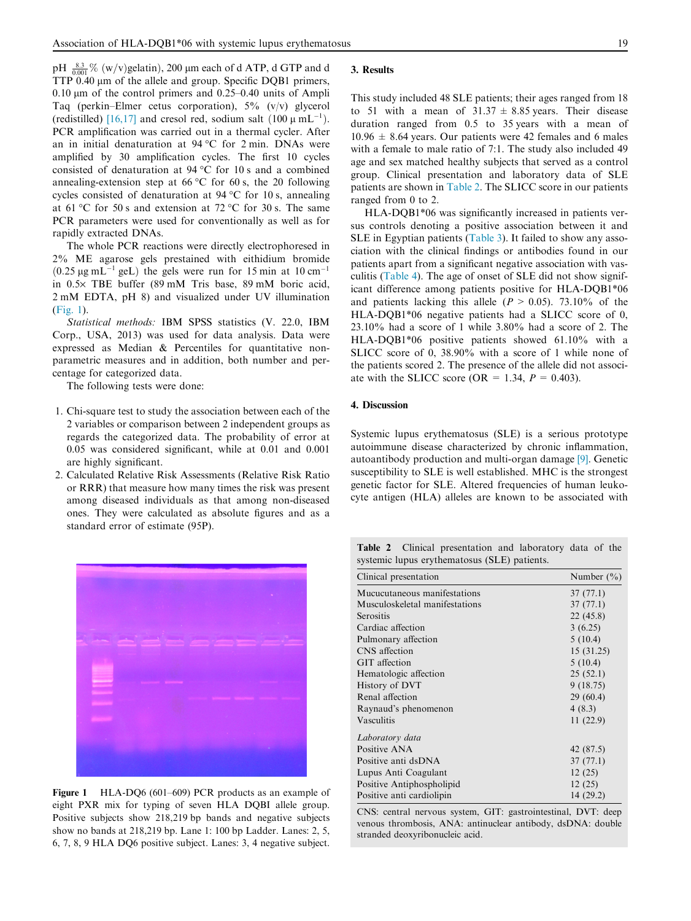pH  $\frac{8.3}{0.001}$ % (w/v)gelatin), 200 µm each of d ATP, d GTP and d TTP 0.40 µm of the allele and group. Specific DQB1 primers,  $0.10 \mu m$  of the control primers and  $0.25-0.40$  units of Ampli Taq (perkin–Elmer cetus corporation),  $5\%$  (v/v) glycerol (redistilled) [\[16,17\]](#page-4-0) and cresol red, sodium salt  $(100 \mu \text{ mL}^{-1})$ . PCR amplification was carried out in a thermal cycler. After an in initial denaturation at  $94^{\circ}$ C for 2 min. DNAs were amplified by 30 amplification cycles. The first 10 cycles consisted of denaturation at  $94^{\circ}$ C for 10 s and a combined annealing-extension step at 66 °C for 60 s, the 20 following cycles consisted of denaturation at  $94^{\circ}$ C for 10 s, annealing at 61 °C for 50 s and extension at 72 °C for 30 s. The same PCR parameters were used for conventionally as well as for rapidly extracted DNAs.

The whole PCR reactions were directly electrophoresed in 2% ME agarose gels prestained with eithidium bromide  $(0.25 \,\mu g \,\text{mL}^{-1} \text{ gel})$  the gels were run for 15 min at 10 cm<sup>-1</sup> in 0.5· TBE buffer (89 mM Tris base, 89 mM boric acid, 2 mM EDTA, pH 8) and visualized under UV illumination (Fig. 1).

Statistical methods: IBM SPSS statistics (V. 22.0, IBM Corp., USA, 2013) was used for data analysis. Data were expressed as Median & Percentiles for quantitative nonparametric measures and in addition, both number and percentage for categorized data.

The following tests were done:

- 1. Chi-square test to study the association between each of the 2 variables or comparison between 2 independent groups as regards the categorized data. The probability of error at 0.05 was considered significant, while at 0.01 and 0.001 are highly significant.
- 2. Calculated Relative Risk Assessments (Relative Risk Ratio or RRR) that measure how many times the risk was present among diseased individuals as that among non-diseased ones. They were calculated as absolute figures and as a standard error of estimate (95P).



Figure 1 HLA-DQ6 (601–609) PCR products as an example of eight PXR mix for typing of seven HLA DQBI allele group. Positive subjects show 218,219 bp bands and negative subjects show no bands at 218,219 bp. Lane 1: 100 bp Ladder. Lanes: 2, 5, 6, 7, 8, 9 HLA DQ6 positive subject. Lanes: 3, 4 negative subject.

### 3. Results

This study included 48 SLE patients; their ages ranged from 18 to 51 with a mean of  $31.37 \pm 8.85$  years. Their disease duration ranged from 0.5 to 35 years with a mean of  $10.96 \pm 8.64$  years. Our patients were 42 females and 6 males with a female to male ratio of 7:1. The study also included 49 age and sex matched healthy subjects that served as a control group. Clinical presentation and laboratory data of SLE patients are shown in Table 2. The SLICC score in our patients ranged from 0 to 2.

HLA-DQB1\*06 was significantly increased in patients versus controls denoting a positive association between it and SLE in Egyptian patients [\(Table 3\)](#page-3-0). It failed to show any association with the clinical findings or antibodies found in our patients apart from a significant negative association with vasculitis ([Table 4\)](#page-3-0). The age of onset of SLE did not show significant difference among patients positive for HLA-DQB1\*06 and patients lacking this allele ( $P > 0.05$ ). 73.10% of the HLA-DQB1\*06 negative patients had a SLICC score of 0, 23.10% had a score of 1 while 3.80% had a score of 2. The HLA-DQB1\*06 positive patients showed 61.10% with a SLICC score of 0, 38.90% with a score of 1 while none of the patients scored 2. The presence of the allele did not associate with the SLICC score (OR = 1.34,  $P = 0.403$ ).

# 4. Discussion

Systemic lupus erythematosus (SLE) is a serious prototype autoimmune disease characterized by chronic inflammation, autoantibody production and multi-organ damage [\[9\]](#page-4-0). Genetic susceptibility to SLE is well established. MHC is the strongest genetic factor for SLE. Altered frequencies of human leukocyte antigen (HLA) alleles are known to be associated with

Table 2 Clinical presentation and laboratory data of the systemic lupus erythematosus (SLE) patients.

| Clinical presentation          | Number $(\% )$ |
|--------------------------------|----------------|
| Mucucutaneous manifestations   | 37(77.1)       |
| Musculoskeletal manifestations | 37(77.1)       |
| Serositis                      | 22(45.8)       |
| Cardiac affection              | 3(6.25)        |
| Pulmonary affection            | 5(10.4)        |
| CNS affection                  | 15(31.25)      |
| GIT affection                  | 5(10.4)        |
| Hematologic affection          | 25(52.1)       |
| History of DVT                 | 9(18.75)       |
| Renal affection                | 29 (60.4)      |
| Raynaud's phenomenon           | 4(8.3)         |
| Vasculitis                     | 11(22.9)       |
| Laboratory data                |                |
| Positive ANA                   | 42 (87.5)      |
| Positive anti dsDNA            | 37(77.1)       |
| Lupus Anti Coagulant           | 12(25)         |
| Positive Antiphospholipid      | 12(25)         |
| Positive anti cardiolipin      | 14 (29.2)      |

CNS: central nervous system, GIT: gastrointestinal, DVT: deep venous thrombosis, ANA: antinuclear antibody, dsDNA: double stranded deoxyribonucleic acid.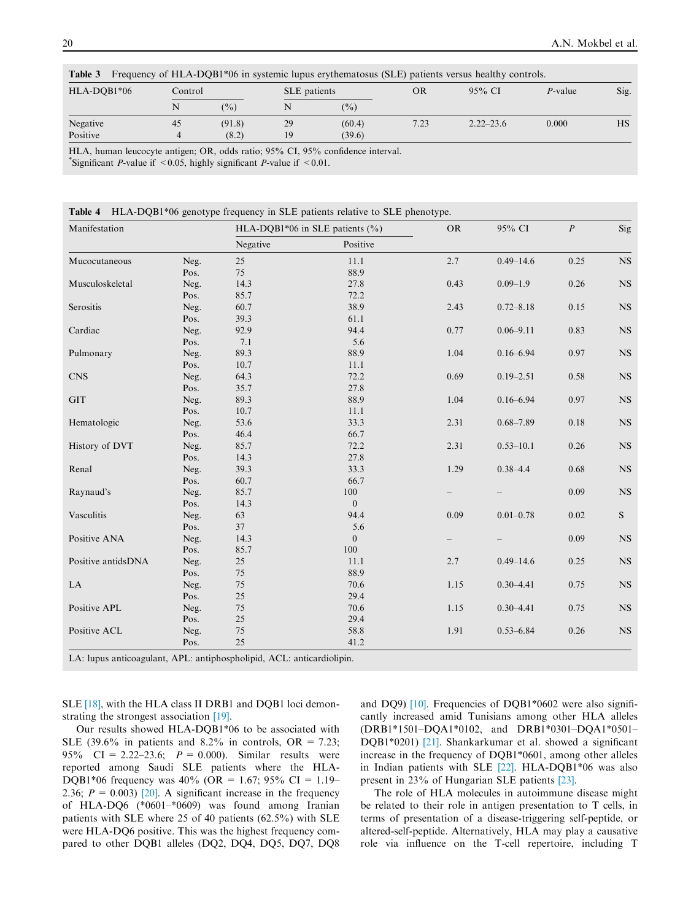<span id="page-3-0"></span>

| Table 3<br>Frequency of HLA-DQB1*06 in systemic lupus erythematosus (SLE) patients versus healthy controls. |    |               |    |                |      |               |                 |      |
|-------------------------------------------------------------------------------------------------------------|----|---------------|----|----------------|------|---------------|-----------------|------|
| HLA-DOB1*06                                                                                                 |    | Control       |    | SLE patients   | OR   | $95\%$ CI     | <i>P</i> -value | Sig. |
|                                                                                                             | N  | $\frac{9}{0}$ |    | $\binom{0}{0}$ |      |               |                 |      |
| Negative                                                                                                    | 45 | (91.8)        | 29 | (60.4)         | 7.23 | $2.22 - 23.6$ | 0.000           | НS   |
| Positive                                                                                                    |    | (8.2)         | 19 | (39.6)         |      |               |                 |      |

Table 3 Frequency of HLA-DQB1\*06 in systemic lupus erythematosus (SLE) patients versus healthy controls.

HLA, human leucocyte antigen; OR, odds ratio; 95% CI, 95% confidence interval.

\*Significant *P*-value if <0.05, highly significant *P*-value if <0.01.

|  |  |  |  | Table 4 HLA-DQB1*06 genotype frequency in SLE patients relative to SLE phenotype. |
|--|--|--|--|-----------------------------------------------------------------------------------|
|--|--|--|--|-----------------------------------------------------------------------------------|

| Manifestation      |      | HLA-DQB1*06 in SLE patients $(\% )$ |                  | ${\rm OR}$            | 95% CI                                         | $\overline{P}$                       | Sig           |
|--------------------|------|-------------------------------------|------------------|-----------------------|------------------------------------------------|--------------------------------------|---------------|
|                    |      | Negative                            | Positive         |                       |                                                |                                      |               |
| Mucocutaneous      | Neg. | 25                                  | 11.1             | 2.7                   | $0.49 - 14.6$                                  | 0.25                                 | <b>NS</b>     |
|                    | Pos. | 75                                  | 88.9             |                       |                                                |                                      |               |
| Musculoskeletal    | Neg. | 14.3                                | 27.8             | 0.43                  | $0.09 - 1.9$                                   | 0.26                                 | $_{\rm NS}$   |
|                    | Pos. | 85.7                                | 72.2             |                       |                                                |                                      |               |
| Serositis          | Neg. | 60.7                                | 38.9             | 2.43                  | $0.72 - 8.18$                                  | $0.15\,$                             | $_{\rm NS}$   |
|                    | Pos. | 39.3                                | 61.1             |                       |                                                |                                      |               |
| Cardiac            | Neg. | 92.9                                | 94.4             | 0.77                  | $0.06 - 9.11$                                  | 0.83                                 | NS            |
|                    | Pos. | 7.1                                 | 5.6              | 1.04<br>$0.16 - 6.94$ |                                                |                                      |               |
| Pulmonary          | Neg. | 89.3                                | 88.9             |                       |                                                | 0.97                                 | <b>NS</b>     |
|                    | Pos. | 10.7                                | 11.1             |                       | 0.69<br>$0.19 - 2.51$<br>1.04<br>$0.16 - 6.94$ |                                      |               |
| <b>CNS</b>         | Neg. | 64.3                                | 72.2             |                       |                                                | 0.58                                 | <b>NS</b>     |
|                    | Pos. | 35.7                                | 27.8             |                       |                                                |                                      |               |
| <b>GIT</b>         | Neg. | 89.3                                | 88.9             |                       |                                                | 0.97                                 | $_{\rm NS}$   |
|                    | Pos. | 10.7                                | 11.1             |                       |                                                |                                      |               |
| Hematologic        | Neg. | 53.6                                | 33.3             | 2.31                  | $0.68 - 7.89$                                  | 0.18                                 | $_{\rm NS}$   |
|                    | Pos. | 46.4                                | 66.7             |                       |                                                |                                      |               |
| History of DVT     | Neg. | 85.7                                | 72.2             | 2.31                  | $0.53 - 10.1$                                  | 0.26                                 | $_{\rm NS}$   |
|                    | Pos. | 14.3                                | 27.8             |                       |                                                |                                      |               |
| Renal              | Neg. | 39.3                                | 33.3             | 1.29                  | $0.38 - 4.4$                                   | 0.68                                 | $_{\rm NS}$   |
|                    | Pos. | 60.7                                | 66.7             |                       |                                                |                                      |               |
| Raynaud's          | Neg. | 85.7                                | 100              |                       |                                                | 0.09                                 | $_{\rm NS}$   |
|                    | Pos. | 14.3                                | $\mathbf{0}$     |                       |                                                |                                      |               |
| Vasculitis         | Neg. | 63                                  | 94.4             | 0.09                  | $0.01 - 0.78$                                  | 0.02                                 | $S_{\text{}}$ |
|                    | Pos. | 37                                  | 5.6              |                       |                                                | 0.09<br>0.25<br>0.75<br>0.75<br>0.26 |               |
| Positive ANA       | Neg. | 14.3                                | $\boldsymbol{0}$ |                       |                                                |                                      | $_{\rm NS}$   |
|                    | Pos. | 85.7                                | 100              |                       |                                                |                                      |               |
| Positive antidsDNA | Neg. | 25                                  | 11.1             | 2.7                   | $0.49 - 14.6$                                  |                                      | $_{\rm NS}$   |
|                    | Pos. | $75\,$                              | 88.9             |                       |                                                |                                      |               |
| LA                 | Neg. | $75\,$                              | 70.6             | 1.15                  | $0.30 - 4.41$                                  |                                      | $_{\rm NS}$   |
|                    | Pos. | $25\,$                              | 29.4             |                       |                                                |                                      |               |
| Positive APL       | Neg. | $75\,$                              | 70.6             | 1.15                  | $0.30 - 4.41$                                  |                                      | $_{\rm NS}$   |
|                    | Pos. | $25\,$                              | 29.4             |                       |                                                |                                      |               |
| Positive ACL       | Neg. | $75\,$                              | 58.8             | 1.91                  | $0.53 - 6.84$                                  |                                      | $_{\rm NS}$   |
|                    | Pos. | 25                                  | 41.2             |                       |                                                |                                      |               |

LA: lupus anticoagulant, APL: antiphospholipid, ACL: anticardiolipin.

SLE [\[18\],](#page-4-0) with the HLA class II DRB1 and DQB1 loci demonstrating the strongest association [\[19\].](#page-4-0)

Our results showed HLA-DQB1\*06 to be associated with SLE (39.6% in patients and 8.2% in controls,  $OR = 7.23$ ; 95% CI = 2.22–23.6;  $P = 0.000$ . Similar results were reported among Saudi SLE patients where the HLA-DOB1\*06 frequency was  $40\%$  (OR = 1.67; 95% CI = 1.19– 2.36;  $P = 0.003$  [\[20\].](#page-4-0) A significant increase in the frequency of HLA-DQ6 (\*0601–\*0609) was found among Iranian patients with SLE where 25 of 40 patients (62.5%) with SLE were HLA-DQ6 positive. This was the highest frequency compared to other DQB1 alleles (DQ2, DQ4, DQ5, DQ7, DQ8 and DQ9) [\[10\].](#page-4-0) Frequencies of DQB1\*0602 were also significantly increased amid Tunisians among other HLA alleles (DRB1\*1501–DQA1\*0102, and DRB1\*0301–DQA1\*0501– DQB1\*0201) [\[21\].](#page-4-0) Shankarkumar et al. showed a significant increase in the frequency of DQB1\*0601, among other alleles in Indian patients with SLE [\[22\]](#page-4-0). HLA-DQB1\*06 was also present in 23% of Hungarian SLE patients [\[23\]](#page-4-0).

The role of HLA molecules in autoimmune disease might be related to their role in antigen presentation to T cells, in terms of presentation of a disease-triggering self-peptide, or altered-self-peptide. Alternatively, HLA may play a causative role via influence on the T-cell repertoire, including T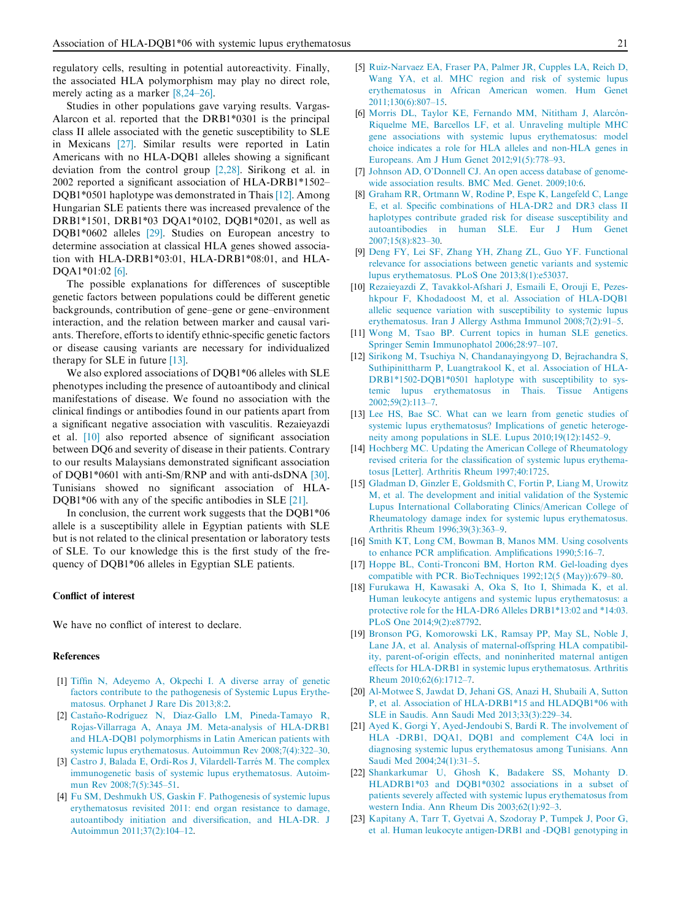<span id="page-4-0"></span>regulatory cells, resulting in potential autoreactivity. Finally, the associated HLA polymorphism may play no direct role, merely acting as a marker [8,24–26].

Studies in other populations gave varying results. Vargas-Alarcon et al. reported that the DRB1\*0301 is the principal class II allele associated with the genetic susceptibility to SLE in Mexicans [\[27\]](#page-5-0). Similar results were reported in Latin Americans with no HLA-DQB1 alleles showing a significant deviation from the control group [2,28]. Sirikong et al. in 2002 reported a significant association of HLA-DRB1\*1502– DQB1\*0501 haplotype was demonstrated in Thais [12]. Among Hungarian SLE patients there was increased prevalence of the DRB1\*1501, DRB1\*03 DQA1\*0102, DQB1\*0201, as well as DQB1\*0602 alleles [\[29\]](#page-5-0). Studies on European ancestry to determine association at classical HLA genes showed association with HLA-DRB1\*03:01, HLA-DRB1\*08:01, and HLA-DQA1\*01:02 [6].

The possible explanations for differences of susceptible genetic factors between populations could be different genetic backgrounds, contribution of gene–gene or gene–environment interaction, and the relation between marker and causal variants. Therefore, efforts to identify ethnic-specific genetic factors or disease causing variants are necessary for individualized therapy for SLE in future [13].

We also explored associations of DQB1\*06 alleles with SLE phenotypes including the presence of autoantibody and clinical manifestations of disease. We found no association with the clinical findings or antibodies found in our patients apart from a significant negative association with vasculitis. Rezaieyazdi et al. [10] also reported absence of significant association between DQ6 and severity of disease in their patients. Contrary to our results Malaysians demonstrated significant association of DQB1\*0601 with anti-Sm/RNP and with anti-dsDNA [\[30\]](#page-5-0). Tunisians showed no significant association of HLA-DOB1\*06 with any of the specific antibodies in SLE [21].

In conclusion, the current work suggests that the DQB1\*06 allele is a susceptibility allele in Egyptian patients with SLE but is not related to the clinical presentation or laboratory tests of SLE. To our knowledge this is the first study of the frequency of DQB1\*06 alleles in Egyptian SLE patients.

# Conflict of interest

We have no conflict of interest to declare.

## References

- [1] [Tiffin N, Adeyemo A, Okpechi I. A diverse array of genetic](http://refhub.elsevier.com/S1110-1164(14)00060-X/h0155) [factors contribute to the pathogenesis of Systemic Lupus Erythe](http://refhub.elsevier.com/S1110-1164(14)00060-X/h0155)[matosus. Orphanet J Rare Dis 2013;8:2.](http://refhub.elsevier.com/S1110-1164(14)00060-X/h0155)
- [2] Castaño-Rodríguez N, Diaz-Gallo LM, Pineda-Tamayo R, [Rojas-Villarraga A, Anaya JM. Meta-analysis of HLA-DRB1](http://refhub.elsevier.com/S1110-1164(14)00060-X/h0010) [and HLA-DQB1 polymorphisms in Latin American patients with](http://refhub.elsevier.com/S1110-1164(14)00060-X/h0010) [systemic lupus erythematosus. Autoimmun Rev 2008;7\(4\):322–30](http://refhub.elsevier.com/S1110-1164(14)00060-X/h0010).
- [3] Castro J, Balada E, Ordi-Ros J, Vilardell-Tarrés M. The complex [immunogenetic basis of systemic lupus erythematosus. Autoim](http://refhub.elsevier.com/S1110-1164(14)00060-X/h0015)mun Rev 2008;7(5):345-51.
- [4] [Fu SM, Deshmukh US, Gaskin F. Pathogenesis of systemic lupus](http://refhub.elsevier.com/S1110-1164(14)00060-X/h0020) [erythematosus revisited 2011: end organ resistance to damage,](http://refhub.elsevier.com/S1110-1164(14)00060-X/h0020) [autoantibody initiation and diversification, and HLA-DR. J](http://refhub.elsevier.com/S1110-1164(14)00060-X/h0020) [Autoimmun 2011;37\(2\):104–12](http://refhub.elsevier.com/S1110-1164(14)00060-X/h0020).
- [5] [Ruiz-Narvaez EA, Fraser PA, Palmer JR, Cupples LA, Reich D,](http://refhub.elsevier.com/S1110-1164(14)00060-X/h0025) [Wang YA, et al. MHC region and risk of systemic lupus](http://refhub.elsevier.com/S1110-1164(14)00060-X/h0025) [erythematosus in African American women. Hum Genet](http://refhub.elsevier.com/S1110-1164(14)00060-X/h0025) [2011;130\(6\):807–15](http://refhub.elsevier.com/S1110-1164(14)00060-X/h0025).
- [6] Morris DL, Taylor KE, Fernando MM, Nititham J, Alarcón-[Riquelme ME, Barcellos LF, et al. Unraveling multiple MHC](http://refhub.elsevier.com/S1110-1164(14)00060-X/h0030) [gene associations with systemic lupus erythematosus: model](http://refhub.elsevier.com/S1110-1164(14)00060-X/h0030) [choice indicates a role for HLA alleles and non-HLA genes in](http://refhub.elsevier.com/S1110-1164(14)00060-X/h0030) [Europeans. Am J Hum Genet 2012;91\(5\):778–93](http://refhub.elsevier.com/S1110-1164(14)00060-X/h0030).
- [7] [Johnson AD, O'Donnell CJ. An open access database of genome](http://refhub.elsevier.com/S1110-1164(14)00060-X/h0035)[wide association results. BMC Med. Genet. 2009;10:6.](http://refhub.elsevier.com/S1110-1164(14)00060-X/h0035)
- [8] [Graham RR, Ortmann W, Rodine P, Espe K, Langefeld C, Lange](http://refhub.elsevier.com/S1110-1164(14)00060-X/h0040) [E, et al. Specific combinations of HLA-DR2 and DR3 class II](http://refhub.elsevier.com/S1110-1164(14)00060-X/h0040) [haplotypes contribute graded risk for disease susceptibility and](http://refhub.elsevier.com/S1110-1164(14)00060-X/h0040) [autoantibodies in human SLE. Eur J Hum Genet](http://refhub.elsevier.com/S1110-1164(14)00060-X/h0040) [2007;15\(8\):823–30](http://refhub.elsevier.com/S1110-1164(14)00060-X/h0040).
- [9] [Deng FY, Lei SF, Zhang YH, Zhang ZL, Guo YF. Functional](http://refhub.elsevier.com/S1110-1164(14)00060-X/h0045) [relevance for associations between genetic variants and systemic](http://refhub.elsevier.com/S1110-1164(14)00060-X/h0045) [lupus erythematosus. PLoS One 2013;8\(1\):e53037.](http://refhub.elsevier.com/S1110-1164(14)00060-X/h0045)
- [10] [Rezaieyazdi Z, Tavakkol-Afshari J, Esmaili E, Orouji E, Pezes](http://refhub.elsevier.com/S1110-1164(14)00060-X/h0050)[hkpour F, Khodadoost M, et al. Association of HLA-DQB1](http://refhub.elsevier.com/S1110-1164(14)00060-X/h0050) [allelic sequence variation with susceptibility to systemic lupus](http://refhub.elsevier.com/S1110-1164(14)00060-X/h0050) [erythematosus. Iran J Allergy Asthma Immunol 2008;7\(2\):91–5.](http://refhub.elsevier.com/S1110-1164(14)00060-X/h0050)
- [11] [Wong M, Tsao BP. Current topics in human SLE genetics.](http://refhub.elsevier.com/S1110-1164(14)00060-X/h0055) [Springer Semin Immunophatol 2006;28:97–107.](http://refhub.elsevier.com/S1110-1164(14)00060-X/h0055)
- [12] [Sirikong M, Tsuchiya N, Chandanayingyong D, Bejrachandra S,](http://refhub.elsevier.com/S1110-1164(14)00060-X/h0060) [Suthipinittharm P, Luangtrakool K, et al. Association of HLA-](http://refhub.elsevier.com/S1110-1164(14)00060-X/h0060)[DRB1\\*1502-DQB1\\*0501 haplotype with susceptibility to sys](http://refhub.elsevier.com/S1110-1164(14)00060-X/h0060)[temic lupus erythematosus in Thais. Tissue Antigens](http://refhub.elsevier.com/S1110-1164(14)00060-X/h0060) [2002;59\(2\):113–7](http://refhub.elsevier.com/S1110-1164(14)00060-X/h0060).
- [13] [Lee HS, Bae SC. What can we learn from genetic studies of](http://refhub.elsevier.com/S1110-1164(14)00060-X/h0065) [systemic lupus erythematosus? Implications of genetic heteroge](http://refhub.elsevier.com/S1110-1164(14)00060-X/h0065)[neity among populations in SLE. Lupus 2010;19\(12\):1452–9.](http://refhub.elsevier.com/S1110-1164(14)00060-X/h0065)
- [14] [Hochberg MC. Updating the American College of Rheumatology](http://refhub.elsevier.com/S1110-1164(14)00060-X/h0070) [revised criteria for the classification of systemic lupus erythema](http://refhub.elsevier.com/S1110-1164(14)00060-X/h0070)[tosus \[Letter\]. Arthritis Rheum 1997;40:1725.](http://refhub.elsevier.com/S1110-1164(14)00060-X/h0070)
- [15] [Gladman D, Ginzler E, Goldsmith C, Fortin P, Liang M, Urowitz](http://refhub.elsevier.com/S1110-1164(14)00060-X/h0075) [M, et al. The development and initial validation of the Systemic](http://refhub.elsevier.com/S1110-1164(14)00060-X/h0075) [Lupus International Collaborating Clinics/American College of](http://refhub.elsevier.com/S1110-1164(14)00060-X/h0075) [Rheumatology damage index for systemic lupus erythematosus.](http://refhub.elsevier.com/S1110-1164(14)00060-X/h0075) [Arthritis Rheum 1996;39\(3\):363–9.](http://refhub.elsevier.com/S1110-1164(14)00060-X/h0075)
- [16] [Smith KT, Long CM, Bowman B, Manos MM. Using cosolvents](http://refhub.elsevier.com/S1110-1164(14)00060-X/h0080) [to enhance PCR amplification. Amplifications 1990;5:16–7](http://refhub.elsevier.com/S1110-1164(14)00060-X/h0080).
- [17] [Hoppe BL, Conti-Tronconi BM, Horton RM. Gel-loading dyes](http://refhub.elsevier.com/S1110-1164(14)00060-X/h0085) [compatible with PCR. BioTechniques 1992;12\(5 \(May\)\):679–80](http://refhub.elsevier.com/S1110-1164(14)00060-X/h0085).
- [18] [Furukawa H, Kawasaki A, Oka S, Ito I, Shimada K, et al.](http://refhub.elsevier.com/S1110-1164(14)00060-X/h0090) [Human leukocyte antigens and systemic lupus erythematosus: a](http://refhub.elsevier.com/S1110-1164(14)00060-X/h0090) [protective role for the HLA-DR6 Alleles DRB1\\*13:02 and \\*14:03.](http://refhub.elsevier.com/S1110-1164(14)00060-X/h0090) [PLoS One 2014;9\(2\):e87792.](http://refhub.elsevier.com/S1110-1164(14)00060-X/h0090)
- [19] [Bronson PG, Komorowski LK, Ramsay PP, May SL, Noble J,](http://refhub.elsevier.com/S1110-1164(14)00060-X/h0095) [Lane JA, et al. Analysis of maternal-offspring HLA compatibil](http://refhub.elsevier.com/S1110-1164(14)00060-X/h0095)[ity, parent-of-origin effects, and noninherited maternal antigen](http://refhub.elsevier.com/S1110-1164(14)00060-X/h0095) [effects for HLA-DRB1 in systemic lupus erythematosus. Arthritis](http://refhub.elsevier.com/S1110-1164(14)00060-X/h0095) [Rheum 2010;62\(6\):1712–7.](http://refhub.elsevier.com/S1110-1164(14)00060-X/h0095)
- [20] [Al-Motwee S, Jawdat D, Jehani GS, Anazi H, Shubaili A, Sutton](http://refhub.elsevier.com/S1110-1164(14)00060-X/h0100) [P, et al. Association of HLA-DRB1\\*15 and HLADQB1\\*06 with](http://refhub.elsevier.com/S1110-1164(14)00060-X/h0100) [SLE in Saudis. Ann Saudi Med 2013;33\(3\):229–34](http://refhub.elsevier.com/S1110-1164(14)00060-X/h0100).
- [21] [Ayed K, Gorgi Y, Ayed-Jendoubi S, Bardi R. The involvement of](http://refhub.elsevier.com/S1110-1164(14)00060-X/h0105) [HLA -DRB1, DQA1, DQB1 and complement C4A loci in](http://refhub.elsevier.com/S1110-1164(14)00060-X/h0105) [diagnosing systemic lupus erythematosus among Tunisians. Ann](http://refhub.elsevier.com/S1110-1164(14)00060-X/h0105) [Saudi Med 2004;24\(1\):31–5.](http://refhub.elsevier.com/S1110-1164(14)00060-X/h0105)
- [22] [Shankarkumar U, Ghosh K, Badakere SS, Mohanty D.](http://refhub.elsevier.com/S1110-1164(14)00060-X/h0110) [HLADRB1\\*03 and DQB1\\*0302 associations in a subset of](http://refhub.elsevier.com/S1110-1164(14)00060-X/h0110) [patients severely affected with systemic lupus erythematosus from](http://refhub.elsevier.com/S1110-1164(14)00060-X/h0110) [western India. Ann Rheum Dis 2003;62\(1\):92–3](http://refhub.elsevier.com/S1110-1164(14)00060-X/h0110).
- [23] [Kapitany A, Tarr T, Gyetvai A, Szodoray P, Tumpek J, Poor G,](http://refhub.elsevier.com/S1110-1164(14)00060-X/h0115) [et al. Human leukocyte antigen-DRB1 and -DQB1 genotyping in](http://refhub.elsevier.com/S1110-1164(14)00060-X/h0115)